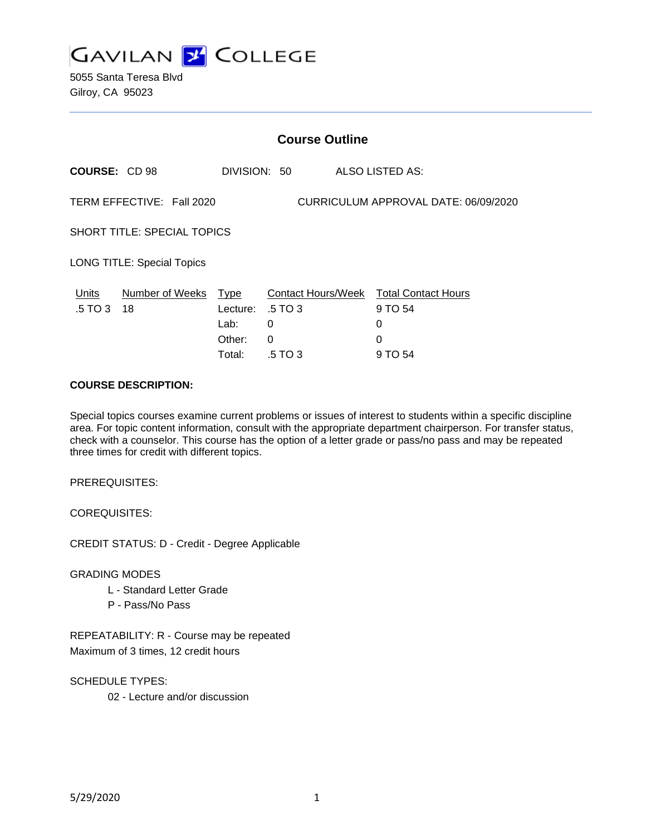

5055 Santa Teresa Blvd Gilroy, CA 95023

|                                    | <b>Course Outline</b>     |                  |              |  |                                                   |
|------------------------------------|---------------------------|------------------|--------------|--|---------------------------------------------------|
| COURSE: CD 98                      |                           |                  | DIVISION: 50 |  | ALSO LISTED AS:                                   |
|                                    | TERM EFFECTIVE: Fall 2020 |                  |              |  | CURRICULUM APPROVAL DATE: 06/09/2020              |
| <b>SHORT TITLE: SPECIAL TOPICS</b> |                           |                  |              |  |                                                   |
| <b>LONG TITLE: Special Topics</b>  |                           |                  |              |  |                                                   |
| Units<br>.5 TO 3                   | Number of Weeks<br>18     | Type<br>Lecture: | .5 TO 3      |  | Contact Hours/Week Total Contact Hours<br>9 TO 54 |
|                                    |                           | Lab:             | 0            |  | 0                                                 |
|                                    |                           | Other:           | 0            |  | 0                                                 |
|                                    |                           | Total:           | .5 TO 3      |  | 9 TO 54                                           |

### **COURSE DESCRIPTION:**

Special topics courses examine current problems or issues of interest to students within a specific discipline area. For topic content information, consult with the appropriate department chairperson. For transfer status, check with a counselor. This course has the option of a letter grade or pass/no pass and may be repeated three times for credit with different topics.

PREREQUISITES:

COREQUISITES:

CREDIT STATUS: D - Credit - Degree Applicable

GRADING MODES

- L Standard Letter Grade
- P Pass/No Pass

REPEATABILITY: R - Course may be repeated Maximum of 3 times, 12 credit hours

SCHEDULE TYPES: 02 - Lecture and/or discussion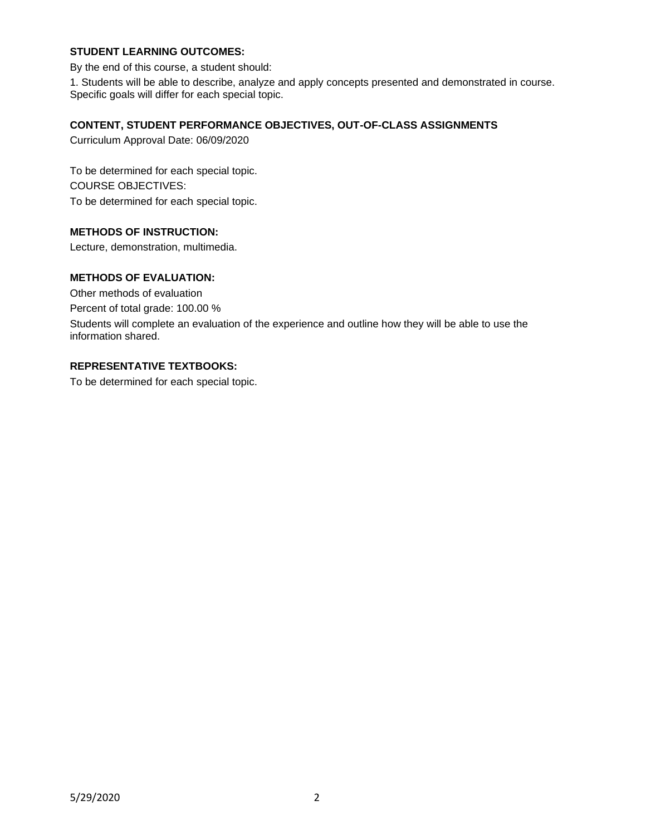# **STUDENT LEARNING OUTCOMES:**

By the end of this course, a student should:

1. Students will be able to describe, analyze and apply concepts presented and demonstrated in course. Specific goals will differ for each special topic.

## **CONTENT, STUDENT PERFORMANCE OBJECTIVES, OUT-OF-CLASS ASSIGNMENTS**

Curriculum Approval Date: 06/09/2020

To be determined for each special topic. COURSE OBJECTIVES: To be determined for each special topic.

## **METHODS OF INSTRUCTION:**

Lecture, demonstration, multimedia.

# **METHODS OF EVALUATION:**

Other methods of evaluation

Percent of total grade: 100.00 %

Students will complete an evaluation of the experience and outline how they will be able to use the information shared.

### **REPRESENTATIVE TEXTBOOKS:**

To be determined for each special topic.